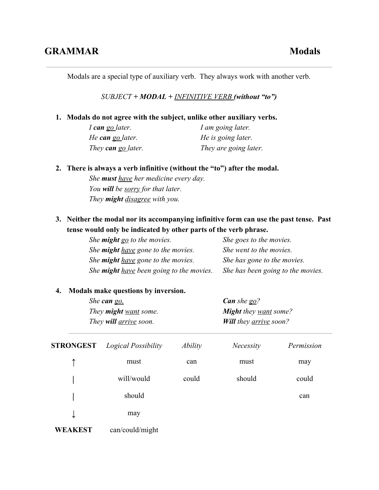Modals are a special type of auxiliary verb. They always work with another verb.

*SUBJECT + MODAL + INFINITIVE VERB (without "to")*

## **1. Modals do not agree with the subject, unlike other auxiliary verbs.**

*I cango later. I am going later. He can go later. He is going later. They can go later. They are going later.*

## **2. There is always a verb infinitive (without the "to") after the modal.**

*She musthave her medicine every day. You willbe sorry for that later. They might disagree with you.*

**3. Neither the modal nor its accompanying infinitive form can use the past tense. Past tense would only be indicated by other parts of the verb phrase.**

| She <b>might</b> go to the movies.              | She goes to the movies.           |
|-------------------------------------------------|-----------------------------------|
| She <b>might</b> have gone to the movies.       | She went to the movies.           |
| She <b>might</b> have gone to the movies.       | She has gone to the movies.       |
| She <b>might</b> have been going to the movies. | She has been going to the movies. |

## **4. Modals make questions by inversion.**

| She can go.                         | <b>Can</b> she $g_0$ ?               |
|-------------------------------------|--------------------------------------|
| They <b>might</b> <u>want</u> some. | <b>Might</b> they <u>want</u> some?  |
| They will <u>arrive</u> soon.       | <b>Will they <u>arrive</u></b> soon? |

| <b>STRONGEST</b> | Logical Possibility | Ability | <b>Necessity</b> | Permission |
|------------------|---------------------|---------|------------------|------------|
| ↑                | must                | can     | must             | may        |
|                  | will/would          | could   | should           | could      |
|                  | should              |         |                  | can        |
| ↓                | may                 |         |                  |            |
| <b>WEAKEST</b>   | can/could/might     |         |                  |            |